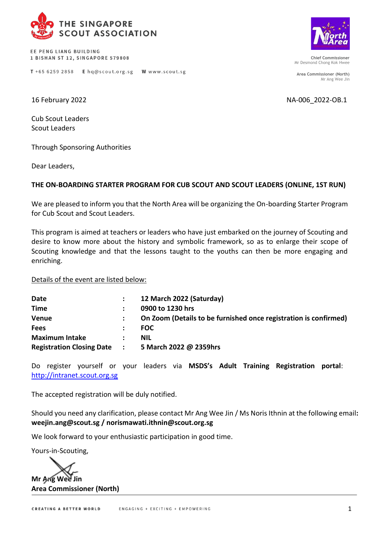

EE PENG LIANG BUILDING 1 BISHAN ST 12, SINGAPORE 579808



**Chief Commissioner** Mr Desmond Chong Kok Hwee

**Area Commissioner (North)** Mr Ang Wee Jin

16 February 2022 NA-006\_2022-OB.1

Cub Scout Leaders Scout Leaders

Through Sponsoring Authorities

Dear Leaders,

## **THE ON-BOARDING STARTER PROGRAM FOR CUB SCOUT AND SCOUT LEADERS (ONLINE, 1ST RUN)**

We are pleased to inform you that the North Area will be organizing the On-boarding Starter Program for Cub Scout and Scout Leaders.

This program is aimed at teachers or leaders who have just embarked on the journey of Scouting and desire to know more about the history and symbolic framework, so as to enlarge their scope of Scouting knowledge and that the lessons taught to the youths can then be more engaging and enriching.

Details of the event are listed below:

| Date                             |                          | 12 March 2022 (Saturday)                                         |
|----------------------------------|--------------------------|------------------------------------------------------------------|
| <b>Time</b>                      |                          | 0900 to 1230 hrs                                                 |
| <b>Venue</b>                     |                          | On Zoom (Details to be furnished once registration is confirmed) |
| <b>Fees</b>                      |                          | <b>FOC</b>                                                       |
| <b>Maximum Intake</b>            |                          | <b>NIL</b>                                                       |
| <b>Registration Closing Date</b> | <b>Contract Contract</b> | 5 March 2022 @ 2359hrs                                           |

Do register yourself or your leaders via **MSDS's Adult Training Registration portal**: [http://intranet.scout.org.sg](http://intranet.scout.org.sg/)

The accepted registration will be duly notified.

Should you need any clarification, please contact Mr Ang Wee Jin / Ms Noris Ithnin at the following email**: [weejin.ang@scout.sg](mailto:weejin.ang@scout.sg) / norismawati.ithnin@scout.org.sg**

We look forward to your enthusiastic participation in good time.

Yours-in-Scouting,

**Mr Ang Wee Jin Area Commissioner (North)**